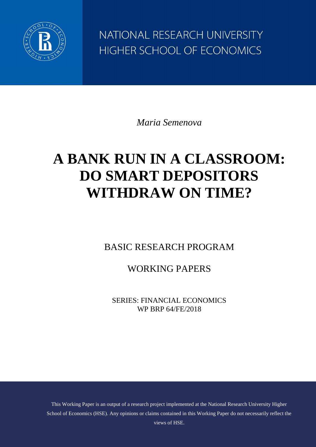

NATIONAL RESEARCH UNIVERSITY HIGHER SCHOOL OF ECONOMICS

*Maria Semenova*

# **A BANK RUN IN A CLASSROOM: DO SMART DEPOSITORS WITHDRAW ON TIME?**

BASIC RESEARCH PROGRAM

WORKING PAPERS

SERIES: FINANCIAL ECONOMICS WP BRP 64/FE/2018

This Working Paper is an output of a research project implemented at the National Research University Higher School of Economics (HSE). Any opinions or claims contained in this Working Paper do not necessarily reflect the views of HSE.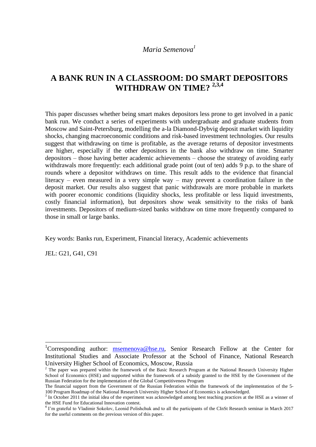## **A BANK RUN IN A CLASSROOM: DO SMART DEPOSITORS WITHDRAW ON TIME? 2,3,4**

This paper discusses whether being smart makes depositors less prone to get involved in a panic bank run. We conduct a series of experiments with undergraduate and graduate students from Moscow and Saint-Petersburg, modelling the a-la Diamond-Dybvig deposit market with liquidity shocks, changing macroeconomic conditions and risk-based investment technologies. Our results suggest that withdrawing on time is profitable, as the average returns of depositor investments are higher, especially if the other depositors in the bank also withdraw on time. Smarter depositors – those having better academic achievements – choose the strategy of avoiding early withdrawals more frequently: each additional grade point (out of ten) adds 9 p.p. to the share of rounds where a depositor withdraws on time. This result adds to the evidence that financial literacy – even measured in a very simple way – may prevent a coordination failure in the deposit market. Our results also suggest that panic withdrawals are more probable in markets with poorer economic conditions (liquidity shocks, less profitable or less liquid investments, costly financial information), but depositors show weak sensitivity to the risks of bank investments. Depositors of medium-sized banks withdraw on time more frequently compared to those in small or large banks.

Key words: Banks run, Experiment, Financial literacy, Academic achievements

JEL: G21, G41, C91

**.** 

<sup>&</sup>lt;sup>1</sup>Corresponding author:  $\frac{m$ semenova@hse.ru, Senior Research Fellow at the Center for Institutional Studies and Associate Professor at the School of Finance, National Research University Higher School of Economics, Moscow, Russia

 $2$  The paper was prepared within the framework of the Basic Research Program at the National Research University Higher School of Economics (HSE) and supported within the framework of a subsidy granted to the HSE by the Government of the Russian Federation for the implementation of the Global Competitiveness Program

The financial support from the Government of the Russian Federation within the framework of the implementation of the 5- 100 Program Roadmap of the National Research University Higher School of Economics is acknowledged.

 $3$  In October 2011 the initial idea of the experiment was acknowledged among best teaching practices at the HSE as a winner of

the HSE Fund for Educational Innovation contest. 4 I'm grateful to Vladimir Sokolov, Leonid Polishchuk and to all the participants of the CInSt Research seminar in March 2017 for the useful comments on the previous version of this paper.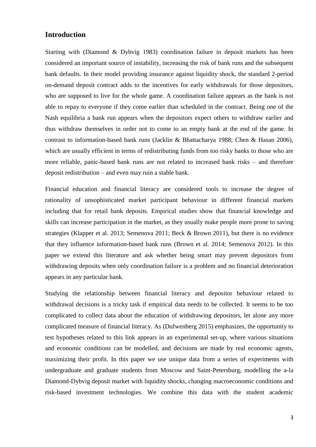#### **Introduction**

Starting with (Diamond & Dybvig 1983) coordination failure in deposit markets has been considered an important source of instability, increasing the risk of bank runs and the subsequent bank defaults. In their model providing insurance against liquidity shock, the standard 2-period on-demand deposit contract adds to the incentives for early withdrawals for those depositors, who are supposed to live for the whole game. A coordination failure appears as the bank is not able to repay to everyone if they come earlier than scheduled in the contract. Being one of the Nash equilibria a bank run appears when the depositors expect others to withdraw earlier and thus withdraw themselves in order not to come to an empty bank at the end of the game. In contrast to information-based bank runs (Jacklin & Bhattacharya 1988; Chen & Hasan 2006), which are usually efficient in terms of redistributing funds from too risky banks to those who are more reliable, panic-based bank runs are not related to increased bank risks – and therefore deposit redistribution – and even may ruin a stable bank.

Financial education and financial literacy are considered tools to increase the degree of rationality of unsophisticated market participant behaviour in different financial markets including that for retail bank deposits. Empirical studies show that financial knowledge and skills can increase participation in the market, as they usually make people more prone to saving strategies (Klapper et al. 2013; Semenova 2011; Beck & Brown 2011), but there is no evidence that they influence information-based bank runs (Brown et al. 2014; Semenova 2012). In this paper we extend this literature and ask whether being smart may prevent depositors from withdrawing deposits when only coordination failure is a problem and no financial deterioration appears in any particular bank.

Studying the relationship between financial literacy and depositor behaviour related to withdrawal decisions is a tricky task if empirical data needs to be collected. It seems to be too complicated to collect data about the education of withdrawing depositors, let alone any more complicated measure of financial literacy. As (Dufwenberg 2015) emphasizes, the opportunity to test hypotheses related to this link appears in an experimental set-up, where various situations and economic conditions can be modelled, and decisions are made by real economic agents, maximizing their profit. In this paper we use unique data from a series of experiments with undergraduate and graduate students from Moscow and Saint-Petersburg, modelling the a-la Diamond-Dybvig deposit market with liquidity shocks, changing macroeconomic conditions and risk-based investment technologies. We combine this data with the student academic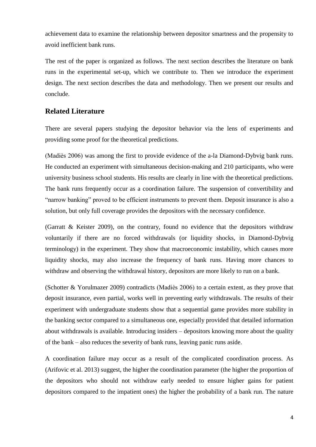achievement data to examine the relationship between depositor smartness and the propensity to avoid inefficient bank runs.

The rest of the paper is organized as follows. The next section describes the literature on bank runs in the experimental set-up, which we contribute to. Then we introduce the experiment design. The next section describes the data and methodology. Then we present our results and conclude.

#### **Related Literature**

There are several papers studying the depositor behavior via the lens of experiments and providing some proof for the theoretical predictions.

(Madiès 2006) was among the first to provide evidence of the a-la Diamond-Dybvig bank runs. He conducted an experiment with simultaneous decision-making and 210 participants, who were university business school students. His results are clearly in line with the theoretical predictions. The bank runs frequently occur as a coordination failure. The suspension of convertibility and "narrow banking" proved to be efficient instruments to prevent them. Deposit insurance is also a solution, but only full coverage provides the depositors with the necessary confidence.

(Garratt & Keister 2009), on the contrary, found no evidence that the depositors withdraw voluntarily if there are no forced withdrawals (or liquidity shocks, in Diamond-Dybvig terminology) in the experiment. They show that macroeconomic instability, which causes more liquidity shocks, may also increase the frequency of bank runs. Having more chances to withdraw and observing the withdrawal history, depositors are more likely to run on a bank.

(Schotter & Yorulmazer 2009) contradicts (Madiès 2006) to a certain extent, as they prove that deposit insurance, even partial, works well in preventing early withdrawals. The results of their experiment with undergraduate students show that a sequential game provides more stability in the banking sector compared to a simultaneous one, especially provided that detailed information about withdrawals is available. Introducing insiders – depositors knowing more about the quality of the bank – also reduces the severity of bank runs, leaving panic runs aside.

A coordination failure may occur as a result of the complicated coordination process. As (Arifovic et al. 2013) suggest, the higher the coordination parameter (the higher the proportion of the depositors who should not withdraw early needed to ensure higher gains for patient depositors compared to the impatient ones) the higher the probability of a bank run. The nature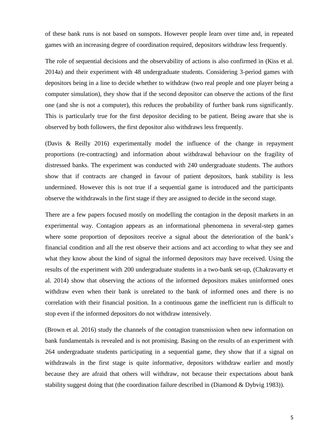of these bank runs is not based on sunspots. However people learn over time and, in repeated games with an increasing degree of coordination required, depositors withdraw less frequently.

The role of sequential decisions and the observability of actions is also confirmed in (Kiss et al. 2014a) and their experiment with 48 undergraduate students. Considering 3-period games with depositors being in a line to decide whether to withdraw (two real people and one player being a computer simulation), they show that if the second depositor can observe the actions of the first one (and she is not a computer), this reduces the probability of further bank runs significantly. This is particularly true for the first depositor deciding to be patient. Being aware that she is observed by both followers, the first depositor also withdraws less frequently.

(Davis & Reilly 2016) experimentally model the influence of the change in repayment proportions (re-contracting) and information about withdrawal behaviour on the fragility of distressed banks. The experiment was conducted with 240 undergraduate students. The authors show that if contracts are changed in favour of patient depositors, bank stability is less undermined. However this is not true if a sequential game is introduced and the participants observe the withdrawals in the first stage if they are assigned to decide in the second stage.

There are a few papers focused mostly on modelling the contagion in the deposit markets in an experimental way. Contagion appears as an informational phenomena in several-step games where some proportion of depositors receive a signal about the deterioration of the bank's financial condition and all the rest observe their actions and act according to what they see and what they know about the kind of signal the informed depositors may have received. Using the results of the experiment with 200 undergraduate students in a two-bank set-up, (Chakravarty et al. 2014) show that observing the actions of the informed depositors makes uninformed ones withdraw even when their bank is unrelated to the bank of informed ones and there is no correlation with their financial position. In a continuous game the inefficient run is difficult to stop even if the informed depositors do not withdraw intensively.

(Brown et al. 2016) study the channels of the contagion transmission when new information on bank fundamentals is revealed and is not promising. Basing on the results of an experiment with 264 undergraduate students participating in a sequential game, they show that if a signal on withdrawals in the first stage is quite informative, depositors withdraw earlier and mostly because they are afraid that others will withdraw, not because their expectations about bank stability suggest doing that (the coordination failure described in (Diamond & Dybvig 1983)).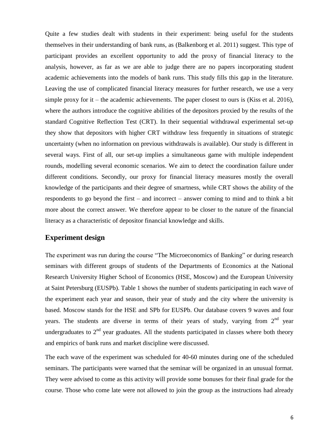Quite a few studies dealt with students in their experiment: being useful for the students themselves in their understanding of bank runs, as (Balkenborg et al. 2011) suggest. This type of participant provides an excellent opportunity to add the proxy of financial literacy to the analysis, however, as far as we are able to judge there are no papers incorporating student academic achievements into the models of bank runs. This study fills this gap in the literature. Leaving the use of complicated financial literacy measures for further research, we use a very simple proxy for it – the academic achievements. The paper closest to ours is (Kiss et al. 2016), where the authors introduce the cognitive abilities of the depositors proxied by the results of the standard Cognitive Reflection Test (CRT). In their sequential withdrawal experimental set-up they show that depositors with higher CRT withdraw less frequently in situations of strategic uncertainty (when no information on previous withdrawals is available). Our study is different in several ways. First of all, our set-up implies a simultaneous game with multiple independent rounds, modelling several economic scenarios. We aim to detect the coordination failure under different conditions. Secondly, our proxy for financial literacy measures mostly the overall knowledge of the participants and their degree of smartness, while CRT shows the ability of the respondents to go beyond the first – and incorrect – answer coming to mind and to think a bit more about the correct answer. We therefore appear to be closer to the nature of the financial literacy as a characteristic of depositor financial knowledge and skills.

#### **Experiment design**

The experiment was run during the course "The Microeconomics of Banking" or during research seminars with different groups of students of the Departments of Economics at the National Research University Higher School of Economics (HSE, Moscow) and the European University at Saint Petersburg (EUSPb). [Table 1](#page-6-0) shows the number of students participating in each wave of the experiment each year and season, their year of study and the city where the university is based. Moscow stands for the HSE and SPb for EUSPb. Our database covers 9 waves and four years. The students are diverse in terms of their years of study, varying from  $2<sup>nd</sup>$  year undergraduates to  $2<sup>nd</sup>$  year graduates. All the students participated in classes where both theory and empirics of bank runs and market discipline were discussed.

The each wave of the experiment was scheduled for 40-60 minutes during one of the scheduled seminars. The participants were warned that the seminar will be organized in an unusual format. They were advised to come as this activity will provide some bonuses for their final grade for the course. Those who come late were not allowed to join the group as the instructions had already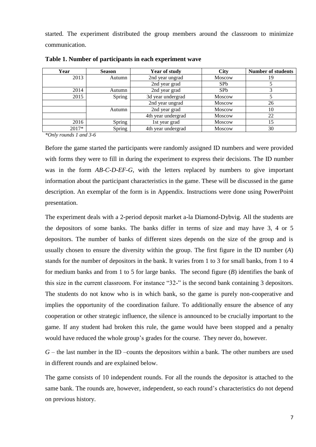started. The experiment distributed the group members around the classroom to minimize communication.

| Year  | <b>Season</b> | <b>Year of study</b> | <b>City</b>     | <b>Number of students</b> |
|-------|---------------|----------------------|-----------------|---------------------------|
| 2013  | Autumn        | 2nd year ungrad      | <b>Moscow</b>   | 19                        |
|       |               | 2nd year grad        | SP <sub>b</sub> |                           |
| 2014  | Autumn        | 2nd year grad        | SP <sub>b</sub> |                           |
| 2015  | Spring        | 3d year undergrad    | <b>Moscow</b>   |                           |
|       |               | 2nd year ungrad      | <b>Moscow</b>   | 26                        |
|       | Autumn        | 2nd year grad        | <b>Moscow</b>   | 10                        |
|       |               | 4th year undergrad   | Moscow          | 22                        |
| 2016  | Spring        | 1st year grad        | <b>Moscow</b>   | 15                        |
| 2017* | Spring        | 4th year undergrad   | <b>Moscow</b>   | 30                        |

<span id="page-6-0"></span>**Table 1. Number of participants in each experiment wave**

*\*Only rounds 1 and 3-6*

Before the game started the participants were randomly assigned ID numbers and were provided with forms they were to fill in during the experiment to express their decisions. The ID number was in the form *AB-C-D-EF-G*, with the letters replaced by numbers to give important information about the participant characteristics in the game. These will be discussed in the game description. An exemplar of the form is in Appendix. Instructions were done using PowerPoint presentation.

The experiment deals with a 2-period deposit market a-la Diamond-Dybvig. All the students are the depositors of some banks. The banks differ in terms of size and may have 3, 4 or 5 depositors. The number of banks of different sizes depends on the size of the group and is usually chosen to ensure the diversity within the group. The first figure in the ID number (*A*) stands for the number of depositors in the bank. It varies from 1 to 3 for small banks, from 1 to 4 for medium banks and from 1 to 5 for large banks. The second figure (*B*) identifies the bank of this size in the current classroom. For instance "32-" is the second bank containing 3 depositors. The students do not know who is in which bank, so the game is purely non-cooperative and implies the opportunity of the coordination failure. To additionally ensure the absence of any cooperation or other strategic influence, the silence is announced to be crucially important to the game. If any student had broken this rule, the game would have been stopped and a penalty would have reduced the whole group's grades for the course. They never do, however.

 $G$  – the last number in the ID –counts the depositors within a bank. The other numbers are used in different rounds and are explained below.

The game consists of 10 independent rounds. For all the rounds the depositor is attached to the same bank. The rounds are, however, independent, so each round's characteristics do not depend on previous history.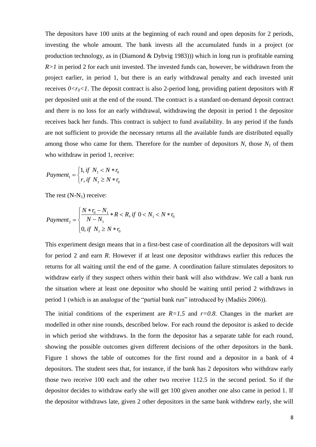The depositors have 100 units at the beginning of each round and open deposits for 2 periods, investing the whole amount. The bank invests all the accumulated funds in a project (or production technology, as in (Diamond & Dybvig 1983))) which in long run is profitable earning *R>1* in period 2 for each unit invested. The invested funds can, however, be withdrawn from the project earlier, in period 1, but there is an early withdrawal penalty and each invested unit receives  $0 \lt r_0 \lt 1$ . The deposit contract is also 2-period long, providing patient depositors with *R* per deposited unit at the end of the round. The contract is a standard on-demand deposit contract and there is no loss for an early withdrawal, withdrawing the deposit in period 1 the depositor receives back her funds. This contract is subject to fund availability. In any period if the funds are not sufficient to provide the necessary returns all the available funds are distributed equally among those who came for them. Therefore for the number of depositors  $N$ , those  $N<sub>1</sub>$  of them who withdraw in period 1, receive:

$$
Payment_1 = \begin{cases} 1, & \text{if } N_1 < N * r_0 \\ r, & \text{if } N_1 \ge N * r_0 \end{cases}
$$

The rest (N-N<sub>1</sub>) receive:  
\n
$$
Payment_{2} = \begin{cases} \frac{N * r_{0} - N_{1}}{N - N_{1}} * R < R, \text{ if } 0 < N_{1} < N * r_{0} \\ 0, \text{ if } N_{1} \ge N * r_{0} \end{cases}
$$

This experiment design means that in a first-best case of coordination all the depositors will wait for period 2 and earn *R*. However if at least one depositor withdraws earlier this reduces the returns for all waiting until the end of the game. A coordination failure stimulates depositors to withdraw early if they suspect others within their bank will also withdraw. We call a bank run the situation where at least one depositor who should be waiting until period 2 withdraws in period 1 (which is an analogue of the "partial bank run" introduced by (Madiès 2006)).

The initial conditions of the experiment are  $R=1.5$  and  $r=0.8$ . Changes in the market are modelled in other nine rounds, described below. For each round the depositor is asked to decide in which period she withdraws. In the form the depositor has a separate table for each round, showing the possible outcomes given different decisions of the other depositors in the bank. [Figure 1](#page-8-0) shows the table of outcomes for the first round and a depositor in a bank of 4 depositors. The student sees that, for instance, if the bank has 2 depositors who withdraw early those two receive 100 each and the other two receive 112.5 in the second period. So if the depositor decides to withdraw early she will get 100 given another one also came in period 1. If the depositor withdraws late, given 2 other depositors in the same bank withdrew early, she will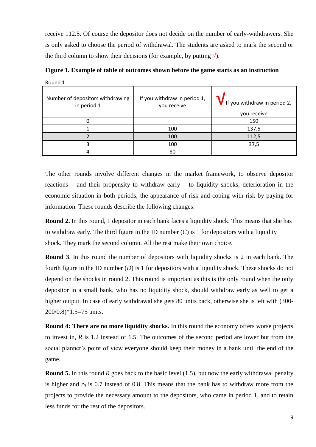receive 112.5. Of course the depositor does not decide on the number of early-withdrawers. She is only asked to choose the period of withdrawal. The students are asked to mark the second or the third column to show their decisions (for example, by putting  $\sqrt{\ }$ ).

<span id="page-8-0"></span>**Figure 1. Example of table of outcomes shown before the game starts as an instruction**

Round 1

| $11001101 +$                                    |                                             |                                                      |
|-------------------------------------------------|---------------------------------------------|------------------------------------------------------|
| Number of depositors withdrawing<br>in period 1 | If you withdraw in period 1,<br>you receive | <b>V</b> If you withdraw in period 2,<br>you receive |
|                                                 |                                             | 150                                                  |
|                                                 | 100                                         | 137,5                                                |
|                                                 | 100                                         | 112,5                                                |
|                                                 | 100                                         | 37,5                                                 |
|                                                 | 80                                          |                                                      |

The other rounds involve different changes in the market framework, to observe depositor reactions – and their propensity to withdraw early – to liquidity shocks, deterioration in the economic situation in both periods, the appearance of risk and coping with risk by paying for information. These rounds describe the following changes:

**Round 2.** In this round, 1 depositor in each bank faces a liquidity shock. This means that she has to withdraw early. The third figure in the ID number  $(C)$  is 1 for depositors with a liquidity shock. They mark the second column. All the rest make their own choice.

**Round 3**. In this round the number of depositors with liquidity shocks is 2 in each bank. The fourth figure in the ID number (*D*) is 1 for depositors with a liquidity shock. These shocks do not depend on the shocks in round 2. This round is important as this is the only round when the only depositor in a small bank, who has no liquidity shock, should withdraw early as well to get a higher output. In case of early withdrawal she gets 80 units back, otherwise she is left with (300- 200/0.8)\*1.5=75 units.

**Round 4: There are no more liquidity shocks.** In this round the economy offers worse projects to invest in, *R* is 1.2 instead of 1.5. The outcomes of the second period are lower but from the social planner's point of view everyone should keep their money in a bank until the end of the game.

**Round 5.** In this round *R* goes back to the basic level (1.5), but now the early withdrawal penalty is higher and  $r_0$  is 0.7 instead of 0.8. This means that the bank has to withdraw more from the projects to provide the necessary amount to the depositors, who came in period 1, and to retain less funds for the rest of the depositors.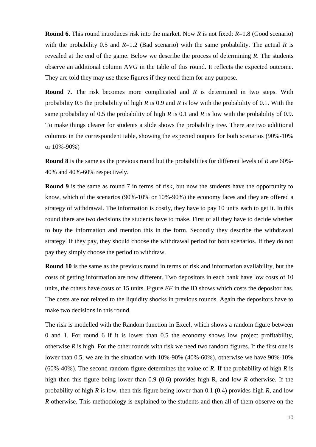**Round 6.** This round introduces risk into the market. Now *R* is not fixed: *R*=1.8 (Good scenario) with the probability 0.5 and  $R=1.2$  (Bad scenario) with the same probability. The actual R is revealed at the end of the game. Below we describe the process of determining *R*. The students observe an additional column AVG in the table of this round. It reflects the expected outcome. They are told they may use these figures if they need them for any purpose.

**Round 7.** The risk becomes more complicated and *R* is determined in two steps. With probability 0.5 the probability of high *R* is 0.9 and *R* is low with the probability of 0.1. With the same probability of 0.5 the probability of high *R* is 0.1 and *R* is low with the probability of 0.9. To make things clearer for students a slide shows the probability tree. There are two additional columns in the correspondent table, showing the expected outputs for both scenarios (90%-10% or 10%-90%)

**Round 8** is the same as the previous round but the probabilities for different levels of *R* are 60%- 40% and 40%-60% respectively.

**Round 9** is the same as round 7 in terms of risk, but now the students have the opportunity to know, which of the scenarios (90%-10% or 10%-90%) the economy faces and they are offered a strategy of withdrawal. The information is costly, they have to pay 10 units each to get it. In this round there are two decisions the students have to make. First of all they have to decide whether to buy the information and mention this in the form. Secondly they describe the withdrawal strategy. If they pay, they should choose the withdrawal period for both scenarios. If they do not pay they simply choose the period to withdraw.

**Round 10** is the same as the previous round in terms of risk and information availability, but the costs of getting information are now different. Two depositors in each bank have low costs of 10 units, the others have costs of 15 units. Figure *EF* in the ID shows which costs the depositor has. The costs are not related to the liquidity shocks in previous rounds. Again the depositors have to make two decisions in this round.

The risk is modelled with the Random function in Excel, which shows a random figure between 0 and 1. For round 6 if it is lower than 0.5 the economy shows low project profitability, otherwise *R* is high. For the other rounds with risk we need two random figures. If the first one is lower than 0.5, we are in the situation with 10%-90% (40%-60%), otherwise we have 90%-10% (60%-40%). The second random figure determines the value of *R*. If the probability of high *R* is high then this figure being lower than 0.9 (0.6) provides high R, and low *R* otherwise. If the probability of high *R* is low, then this figure being lower than 0.1 (0.4) provides high *R*, and low *R* otherwise. This methodology is explained to the students and then all of them observe on the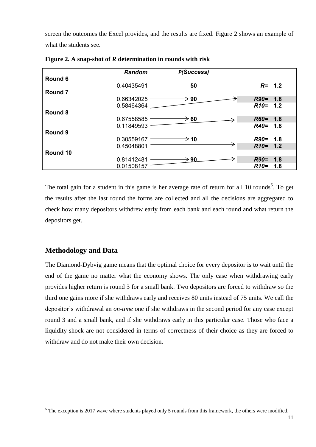screen the outcomes the Excel provides, and the results are fixed. [Figure 2](#page-10-0) shows an example of what the students see.

|                    | Random         | P(Success)       |               |
|--------------------|----------------|------------------|---------------|
| Round 6            |                |                  |               |
|                    | 0.40435491     | 50               | $R = 1.2$     |
| Round <sub>7</sub> |                |                  |               |
|                    | $0.66342025 -$ | $\rightarrow$ 90 | $R90 = 1.8$   |
|                    | 0.58464364     |                  | $R10 = 1.2$   |
| Round 8            |                |                  |               |
|                    | $0.67558585$ — | $\rightarrow$ 60 | $R60 = 1.8$   |
|                    | 0.11849593     |                  | $R40=$<br>1.8 |
| Round 9            |                |                  |               |
|                    | $0.30559167$ – | $\rightarrow$ 10 | $R90 = 1.8$   |
|                    | 0.45048801     |                  | $R10 = 1.2$   |
| Round 10           |                |                  |               |
|                    | 0.81412481     | $\rightarrow$ 90 | $R90=$<br>1.8 |
|                    | 0.01508157     |                  | $R10=$<br>1.8 |

<span id="page-10-0"></span>**Figure 2. A snap-shot of** *R* **determination in rounds with risk**

The total gain for a student in this game is her average rate of return for all 10 rounds<sup>5</sup>. To get the results after the last round the forms are collected and all the decisions are aggregated to check how many depositors withdrew early from each bank and each round and what return the depositors get.

## **Methodology and Data**

**.** 

The Diamond-Dybvig game means that the optimal choice for every depositor is to wait until the end of the game no matter what the economy shows. The only case when withdrawing early provides higher return is round 3 for a small bank. Two depositors are forced to withdraw so the third one gains more if she withdraws early and receives 80 units instead of 75 units. We call the depositor's withdrawal an *on-time* one if she withdraws in the second period for any case except round 3 and a small bank, and if she withdraws early in this particular case. Those who face a liquidity shock are not considered in terms of correctness of their choice as they are forced to withdraw and do not make their own decision.

<sup>&</sup>lt;sup>5</sup> The exception is 2017 wave where students played only 5 rounds from this framework, the others were modified.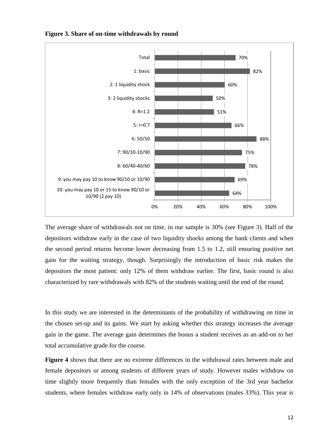

<span id="page-11-0"></span>**Figure 3. Share of on-time withdrawals by round**

The average share of withdrawals not on time, in our sample is 30% (see [Figure 3\)](#page-11-0). Half of the depositors withdraw early in the case of two liquidity shocks among the bank clients and when the second period returns become lower decreasing from 1.5 to 1.2, still ensuring positive net gain for the waiting strategy, though. Surprisingly the introduction of basic risk makes the depositors the most patient: only 12% of them withdraw earlier. The first, basic round is also characterized by rare withdrawals with 82% of the students waiting until the end of the round.

In [this study we are interested in the determinants of the probability of withdrawing on time in](#page-12-0)  [the chosen set-up and its gains. We start by asking whether this strategy increases the average](#page-12-0)  [gain in the game. The average gain determines the bonus a student receives as an add-on to her](#page-12-0)  [total accumulative grade for the course.](#page-12-0)

**[Figure 4](#page-12-0)** shows that there are no extreme differences in the withdrawal rates between male and female depositors or among students of different years of study. However males withdraw on time slightly more frequently than females with the only exception of the 3rd year bachelor students, where females withdraw early only in 14% of observations (males 33%). This year is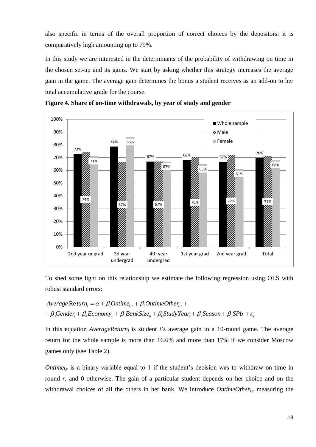<span id="page-12-0"></span>also specific in terms of the overall proportion of correct choices by the depositors: it is comparatively high amounting up to 79%.

In this study we are interested in the determinants of the probability of withdrawing on time in the chosen set-up and its gains. We start by asking whether this strategy increases the average gain in the game. The average gain determines the bonus a student receives as an add-on to her total accumulative grade for the course.





To shed some light on this relationship we estimate the following regression using OLS with robust standard errors:<br> *Average* Re*turn*<sub>i</sub> =  $\alpha + \beta_1$ Ontime<sub>i,r</sub> +  $\beta_2$ OntimeOther<sub>i,r</sub> + robust standard errors:

robust standard errors:  
\n
$$
Average Return_i = \alpha + \beta_1 Online_{i,r} + \beta_2OnlineOther_{i,r} +\n+ \beta_3Generator_i + \beta_4Economy_r + \beta_5BankSize_b + \beta_6StudyYear_i + \beta_7Season + \beta_8SPb_i + \varepsilon_i
$$

In this equation *AverageReturn<sup>i</sup>* is student *i*'s average gain in a 10-round game. The average return for the whole sample is more than 16.6% and more than 17% if we consider Moscow games only (see [Table 2\)](#page-16-0).

*Ontime*<sub>ir</sub> is a binary variable equal to 1 if the student's decision was to withdraw on time in round *r*, and 0 otherwise. The gain of a particular student depends on her choice and on the withdrawal choices of all the others in her bank. We introduce *OntimeOtheri,r* measuring the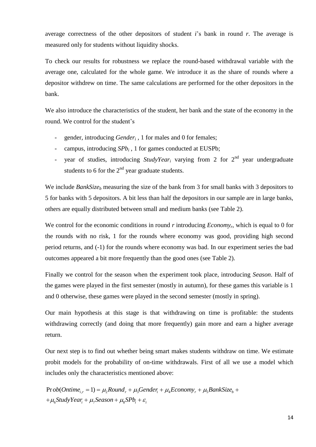average correctness of the other depositors of student *i*'s bank in round *r*. The average is measured only for students without liquidity shocks.

To check our results for robustness we replace the round-based withdrawal variable with the average one, calculated for the whole game. We introduce it as the share of rounds where a depositor withdrew on time. The same calculations are performed for the other depositors in the bank.

We also introduce the characteristics of the student, her bank and the state of the economy in the round. We control for the student's

- gender, introducing *Gender<sub>i</sub>*, 1 for males and 0 for females;
- campus, introducing  $SPb_i$ , 1 for games conducted at EUSPb;
- year of studies, introducing *StudyYear<sub>i</sub>* varying from 2 for 2<sup>nd</sup> year undergraduate students to 6 for the  $2<sup>nd</sup>$  year graduate students.

We include *BankSize<sub>b</sub>* measuring the size of the bank from 3 for small banks with 3 depositors to 5 for banks with 5 depositors. A bit less than half the depositors in our sample are in large banks, others are equally distributed between small and medium banks (see [Table 2\)](#page-16-0).

We control for the economic conditions in round *r* introducing *Economyr*, which is equal to 0 for the rounds with no risk, 1 for the rounds where economy was good, providing high second period returns, and (-1) for the rounds where economy was bad. In our experiment series the bad outcomes appeared a bit more frequently than the good ones (see [Table 2\)](#page-16-0).

Finally we control for the season when the experiment took place, introducing *Season*. Half of the games were played in the first semester (mostly in autumn), for these games this variable is 1 and 0 otherwise, these games were played in the second semester (mostly in spring).

Our main hypothesis at this stage is that withdrawing on time is profitable: the students withdrawing correctly (and doing that more frequently) gain more and earn a higher average return.

Our next step is to find out whether being smart makes students withdraw on time. We estimate probit models for the probability of on-time withdrawals. First of all we use a model which includes only the characteristics mentioned above: includes only the characteristics mentioned above:<br>  $\text{Prob}(Online_{i,r} = 1) = \mu_2 Round_r + \mu_3Gender_i + \mu_4Economy_r + \mu_5BankSize_b$ acteristics mentioned above:<br> $\mu_2 Round_r + \mu_3Sender_i + \mu_4Economy_r + \mu_5BankSize_b$ e characteristics mentioned above:<br>= 1) =  $\mu_2$ Round<sub>r</sub> +  $\mu_3$ Gender<sub>i</sub> +  $\mu_4$ Economy<sub>r</sub> +  $\mu_5$ BankSize<sub>b</sub> +

 $\omega_b(Ontime_{i,r}=1)=\mu_2 Round_r+\mu_3Ge_i$ <br> $\omega_6StudyYear_i+\mu_7Season+\mu_8SPb_i+\varepsilon_i$ *StudyYear*<sub>*i*</sub> +  $\mu$ <sub>7</sub>*Season* +  $\mu$ <sub>8</sub>*SPb*<sub>*StudyYear*<sub>*i*</sub> +  $\mu$ <sub>7</sub>*Season* +  $\mu$ <sub>8</sub>*SPb*</sub> r ob(Ontime<sub>i,r</sub> = 1) =  $\mu_2$ Round<sub>r</sub> +  $\mu_3$ Gender<sub>i</sub> +  $\mu_4$ E<sub>6</sub><br> $\mu_6$ StudyYear<sub>i</sub> +  $\mu_7$ Season +  $\mu_8$ SPb<sub>i</sub> +  $\varepsilon$ <sub>i</sub> Prob(Ontime<sub>i,r</sub> = 1) =  $\mu_2$ Round<sub>r</sub> +  $\mu_3$ Gender<sub>i</sub> +  $\mu_4$ <br>+ $\mu_6$ StudyYear<sub>i</sub> +  $\mu_7$ Season +  $\mu_8$ SPb<sub>i</sub> +  $\varepsilon$ <sub>i</sub>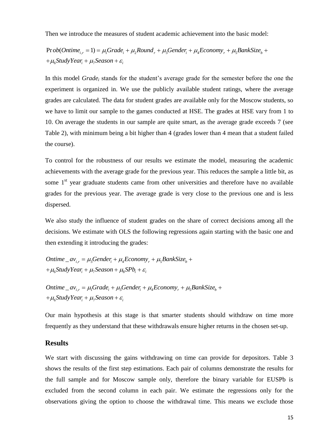Then we introduce the measures of student academic achievement into the basic model:

 $\mu_{\mu\nu}(t) = \mu_{\mu} Grade_i + \mu_{\mu} Round_r + \mu_{\mu} Gender_i + \mu_{\mu} Economy_r + \mu_{\mu} Econom$ ob(Ontime<sub>i,r</sub> = 1)<br><sub>'6</sub>StudyYear<sub>i</sub> + μ<sub>7</sub> Then we introduce the measures of student academic achievement into the basic mod<br>Pr  $ob(Online_{i,r} = 1) = \mu_1 Grade_i + \mu_2 Round_r + \mu_3 gender_i + \mu_4 Economy_r + \mu_5 BankSize_b$  $\mu_{i,r} = 1$ ) =  $\mu_1$ Grade<br> $\tau_i$  +  $\mu_7$ Season +  $\varepsilon_i$ *ob* (*Ontime<sub>i,r</sub>* = 1) =  $\mu_1$ *Grade<sub>i</sub>* +  $\mu_2$ *Round<sub>r</sub>* +  $\mu_3$ *Gender<sub>i</sub>* +  $\mu_4$ *Economy<sub>r</sub>* +  $\mu_5$ *BankSize StudyYear*<sub>*i*</sub> +  $\mu$ <sub>7</sub>*Season* Study*Year*<sub>*i*</sub> +  $\mu$ <sub>7</sub>*Season* measures of student academic achievement into the basic model:<br> $\mu_1 Grade_i + \mu_2 Round_r + \mu_3 Gender_i + \mu_4Economy_r + \mu_5BankSize_b +$ hen we introduce the measures of student a<br>  $\text{r ob}(Online_{i,r} = 1) = \mu_1 Grade_i + \mu_2 Round_r$ <br>  $\mu_6 StudyYear_i + \mu_7 season + \varepsilon_i$ ace the measures of student academic achievement into the basic model:<br>= 1) =  $\mu_1 Grade_i + \mu_2 Round_r + \mu_3 gender_i + \mu_4Economy_r + \mu_5BankSize_b +$ Then we introduce the measures of studen<br>Prob(Ontime<sub>i,r</sub> = 1) =  $\mu_1$ Grade<sub>i</sub> +  $\mu_2$ Rouna<br>+  $\mu_6$ StudyYear<sub>i</sub> +  $\mu_7$ Season +  $\varepsilon$ <sub>i</sub>

In this model *Grade<sup>i</sup>* stands for the student's average grade for the semester before the one the experiment is organized in. We use the publicly available student ratings, where the average grades are calculated. The data for student grades are available only for the Moscow students, so we have to limit our sample to the games conducted at HSE. The grades at HSE vary from 1 to 10. On average the students in our sample are quite smart, as the average grade exceeds 7 (see [Table 2\)](#page-16-0), with minimum being a bit higher than 4 (grades lower than 4 mean that a student failed the course).

To control for the robustness of our results we estimate the model, measuring the academic achievements with the average grade for the previous year. This reduces the sample a little bit, as some  $1<sup>st</sup>$  year graduate students came from other universities and therefore have no available grades for the previous year. The average grade is very close to the previous one and is less dispersed.

We also study the influence of student grades on the share of correct decisions among all the decisions. We estimate with OLS the following regressions again starting with the basic one and then extending it introducing the grades:

```
then extending it introducing the grades:<br>
Ontime \_{av_{i,r}} = \mu_{3} \text{Gender}_{i} + \mu_{4} \text{Economy}_{r} + \mu_{5} \text{BankSize}_{b}\mu_6StudyYear<sub>i</sub> + \mu_7Season + \mu_8SPb<sub>i</sub> + \varepsilon_iime _av<sub>i,r</sub> = µ<sub>3</sub>Gender<sub>i</sub> + µ<sub>4</sub>Ecoi<br>StudyYear<sub>i</sub> + µ<sub>7</sub>Season + µ<sub>8</sub>SPb
                                            t introducing the grades:<br>\mu_3Gender_i + \mu_4Economy_r + \mu_5BankSizentime _av<sub>i,r</sub> = \mu_3Gender<sub>i</sub> + \mu_4Economy<sub>r</sub> + \mu_5Be<br>\mu_6StudyYear<sub>i</sub> + \mu_7Season + \mu_8SPb<sub>i</sub> + \varepsilon<sub>i</sub>
                                      g it introducing the grades:<br>= \mu_3Gender_i + \mu_4Econom_y + \mu_5BankSize_b +Ontime _av<sub>i,r</sub> = \mu_3Gender_i + \mu_4Economy_r + \mu_5<br>+\mu_6StudyYear_i + \mu_7Season + \mu_8SPb_i + \varepsilon_i
```
 $+\mu_{6}$ StudyYear<sub>i</sub> +  $\mu_{7}$ Season +  $\mu_{8}S Pb_{i} + \varepsilon_{i}$ <br>Ontime \_av<sub>i,r</sub> =  $\mu_{1}Grade_{i} + \mu_{3}Gender_{i} + \mu_{4}Economy_{r} + \mu_{5}BankSize_{b}$  $\mu m e \_a v_{i,r} = \mu_1$ Graa $e_i + \mu_3$ <br><sub>6</sub>StudyYear<sub>i</sub> +  $\mu_7$ Season +  $\varepsilon_i$ ime \_av<sub>i,r</sub> = µ<sub>1</sub>Grade<sub>i</sub> +<br>StudyYear<sub>i</sub> + µ<sub>7</sub>Season -  $\mu_{\gamma}$ Season +  $\mu_{8}S Pb_{i} + \varepsilon_{i}$ <br> $\mu_{1}Grade_{i} + \mu_{3} Generate_{i} + \mu_{4} Economy_{r} + \mu_{5} Banksize_{t}$ ntime \_av<sub>i,r</sub> =  $\mu_1$ Grade<sub>i</sub> +  $\mu_3$ Gender<sub>i</sub> +  $\mu$ <br> $\mu_6$ StudyYear<sub>i</sub> +  $\mu_7$ Season +  $\varepsilon$ <sub>i</sub> : +  $\mu$ <sub>7</sub>Season +  $\mu$ <sub>8</sub>SPb<sub>i</sub> +  $\varepsilon$ <sub>i</sub><br>=  $\mu$ <sub>1</sub>Grade<sub>i</sub> +  $\mu$ <sub>3</sub>Gender<sub>i</sub> +  $\mu$ <sub>4</sub>Economy<sub>r</sub> +  $\mu$ <sub>5</sub>BankSize<sub>b</sub> + Ontime \_av<sub>i.r</sub> =  $\mu_1$ Grade<sub>i</sub> +  $\mu_3$ Gender<sub>i</sub> +<br>+ $\mu_6$ StudyYear<sub>i</sub> +  $\mu_7$ Season +  $\varepsilon$ <sub>i</sub>

Our main hypothesis at this stage is that smarter students should withdraw on time more frequently as they understand that these withdrawals ensure higher returns in the chosen set-up.

#### **Results**

We start with discussing the gains withdrawing on time can provide for depositors. [Table 3](#page-17-0) shows the results of the first step estimations. Each pair of columns demonstrate the results for the full sample and for Moscow sample only, therefore the binary variable for EUSPb is excluded from the second column in each pair. We estimate the regressions only for the observations giving the option to choose the withdrawal time. This means we exclude those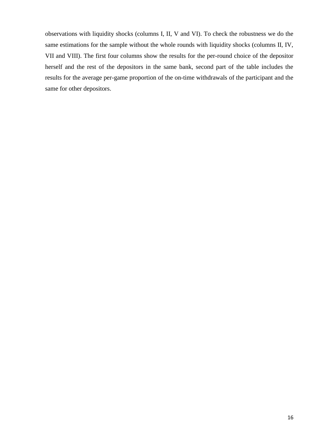observations with liquidity shocks (columns I, II, V and VI). To check the robustness we do the same estimations for the sample without the whole rounds with liquidity shocks (columns II, IV, VII and VIII). The first four columns show the results for the per-round choice of the depositor herself and the rest of the depositors in the same bank, second part of the table includes the results for the average per-game proportion of the on-time withdrawals of the participant and the same for other depositors.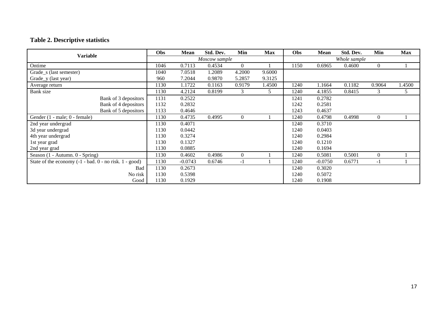## **Table 2. Descriptive statistics**

<span id="page-16-0"></span>

| Variable                                               | Obs           | Mean      | Std. Dev. | Min            | <b>Max</b> | Obs          | Mean      | Std. Dev. | Min            | <b>Max</b> |
|--------------------------------------------------------|---------------|-----------|-----------|----------------|------------|--------------|-----------|-----------|----------------|------------|
|                                                        | Moscow sample |           |           |                |            | Whole sample |           |           |                |            |
| Ontime                                                 | 1046          | 0.7113    | 0.4534    | $\overline{0}$ |            | 1150         | 0.6965    | 0.4600    | $\overline{0}$ |            |
| Grade_s (last semester)                                | 1040          | 7.0518    | 1.2089    | 4.2000         | 9.6000     |              |           |           |                |            |
| Grade_y (last year)                                    | 960           | 7.2044    | 0.9870    | 5.2857         | 9.3125     |              |           |           |                |            |
| Average return                                         | 1130          | 1.1722    | 0.1163    | 0.9179         | 1.4500     | 1240         | 1.1664    | 0.1182    | 0.9064         | 1.4500     |
| Bank size                                              | 1130          | 4.2124    | 0.8199    | 3              | 5          | 1240         | 4.1855    | 0.8415    | 3              | 5          |
| Bank of 3 depositors                                   | 1131          | 0.2522    |           |                |            | 1241         | 0.2782    |           |                |            |
| Bank of 4 depositors                                   | 1132          | 0.2832    |           |                |            | 1242         | 0.2581    |           |                |            |
| Bank of 5 depositors                                   | 1133          | 0.4646    |           |                |            | 1243         | 0.4637    |           |                |            |
| Gender (1 - male; 0 - female)                          | 1130          | 0.4735    | 0.4995    | $\overline{0}$ |            | 1240         | 0.4798    | 0.4998    | $\overline{0}$ |            |
| 2nd year undergrad                                     | 1130          | 0.4071    |           |                |            | 1240         | 0.3710    |           |                |            |
| 3d year undergrad                                      | 1130          | 0.0442    |           |                |            | 1240         | 0.0403    |           |                |            |
| 4th year undergrad                                     | 1130          | 0.3274    |           |                |            | 1240         | 0.2984    |           |                |            |
| 1st year grad                                          | 1130          | 0.1327    |           |                |            | 1240         | 0.1210    |           |                |            |
| 2nd year grad                                          | 1130          | 0.0885    |           |                |            | 1240         | 0.1694    |           |                |            |
| Season (1 - Autumn. 0 - Spring)                        | 1130          | 0.4602    | 0.4986    | $\mathbf{0}$   |            | 1240         | 0.5081    | 0.5001    | $\overline{0}$ |            |
| State of the economy (-1 - bad. 0 - no risk. 1 - good) | 1130          | $-0.0743$ | 0.6746    | $-1$           |            | 1240         | $-0.0750$ | 0.6771    | $-1$           |            |
| Bad                                                    | 1130          | 0.2673    |           |                |            | 1240         | 0.3020    |           |                |            |
| No risk                                                | 1130          | 0.5398    |           |                |            | 1240         | 0.5072    |           |                |            |
| Good                                                   | 1130          | 0.1929    |           |                |            | 1240         | 0.1908    |           |                |            |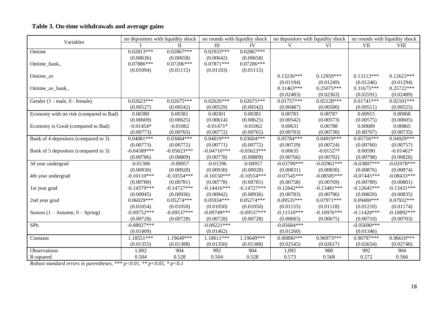### **Table 3. On-time withdrawals and average gains**

| Variables                                       |               | no depositors with liquidity shock |               | no rounds with liquidity shock |                | no depositors with liquidity shock |               | no rounds with liquidity shock |
|-------------------------------------------------|---------------|------------------------------------|---------------|--------------------------------|----------------|------------------------------------|---------------|--------------------------------|
|                                                 |               |                                    | III           | IV                             | V              | VI                                 | <b>VII</b>    | <b>VIII</b>                    |
| Ontime                                          | $0.02813***$  | $0.02867***$                       | $0.02933***$  | $0.02867***$                   |                |                                    |               |                                |
|                                                 | (0.00636)     | (0.00658)                          | (0.00642)     | (0.00658)                      |                |                                    |               |                                |
| Ontime_bank <sub>-i</sub>                       | 0.07886***    | $0.07206***$                       | $0.07871***$  | 0.07206***                     |                |                                    |               |                                |
|                                                 | (0.01094)     | (0.01115)                          | (0.01103)     | (0.01115)                      |                |                                    |               |                                |
| Ontime_av                                       |               |                                    |               |                                | $0.13236***$   | 0.12959***                         | $0.13113***$  | $0.12623***$                   |
|                                                 |               |                                    |               |                                | (0.01194)      | (0.01249)                          | (0.01246)     | (0.01294)                      |
| Ontime_av_bank <sub>-i</sub>                    |               |                                    |               |                                | $0.31463***$   | 0.25075***                         | 0.31675***    | $0.25722***$                   |
|                                                 |               |                                    |               |                                | (0.02483)      | (0.02363)                          | (0.02591)     | (0.02489)                      |
| Gender (1 - male, 0 - female)                   | $0.02623***$  | $0.02675***$                       | $0.02626***$  | $0.02675***$                   | $0.01757***$   | $0.02128***$                       | $0.01741***$  | $0.02101***$                   |
|                                                 | (0.00527)     | (0.00542)                          | (0.00529)     | (0.00542)                      | (0.00487)      | (0.00500)                          | (0.00511)     | (0.00525)                      |
| Economy with no risk (compared to Bad)          | 0.00380       | 0.00381                            | 0.00301       | 0.00381                        | 0.00783        | 0.00787                            | 0.00915       | 0.00968                        |
|                                                 | (0.00609)     | (0.00625)                          | (0.00614)     | (0.00625)                      | (0.00542)      | (0.00573)                          | (0.00575)     | (0.00605)                      |
| Economy is Good (compared to Bad)               | $-0.01454*$   | $-0.01062$                         | $-0.01471*$   | $-0.01062$                     | 0.00631        | 0.00788                            | 0.00689       | 0.00865                        |
|                                                 | (0.00773)     | (0.00765)                          | (0.00772)     | (0.00765)                      | (0.00703)      | (0.00730)                          | (0.00707)     | (0.00735)                      |
| Bank of 4 depositors (compared to 3)            | $0.04081***$  | $0.03604***$                       | 0.04019***    | $0.03604***$                   | 0.05784***     | 0.04919***                         | 0.05756***    | 0.04929***                     |
|                                                 | (0.00773)     | (0.00772)                          | (0.00771)     | (0.00772)                      | (0.00729)      | (0.00724)                          | (0.00760)     | (0.00757)                      |
| Bank of 5 depositors (compared to 3)            | $-0.04589***$ | $-0.05623***$                      | $-0.04716***$ | $-0.05623***$                  | 0.00635        | $-0.01527*$                        | 0.00590       | $-0.01462*$                    |
|                                                 | (0.00786)     | (0.00809)                          | (0.00778)     | (0.00809)                      | (0.00766)      | (0.00792)                          | (0.00798)     | (0.00828)                      |
| 3d year undergrad                               | $-0.01306$    | $-0.00957$                         | $-0.01296$    | $-0.00957$                     | $-0.03799$ *** | $-0.02961***$                      | $-0.03807***$ | $-0.02978***$                  |
|                                                 | (0.00930)     | (0.00928)                          | (0.00930)     | (0.00928)                      | (0.00831)      | (0.00830)                          | (0.00876)     | (0.00874)                      |
| 4th year undergrad                              | $-0.10110***$ | $-0.10554***$                      | $-0.10150***$ | $-0.10554***$                  | $-0.07545***$  | $-0.08585***$                      | $-0.07445***$ | $-0.08433***$                  |
|                                                 | (0.00780)     | (0.00781)                          | (0.00778)     | (0.00781)                      | (0.00758)      | (0.00769)                          | (0.00789)     | (0.00801)                      |
| 1st year grad                                   | $-0.14379***$ | $-0.14727$ ***                     | $-0.14416***$ | $-0.14727$ ***                 | $-0.12642***$  | $-0.13481***$                      | $-0.12645***$ | $-0.13431***$                  |
|                                                 | (0.00945)     | (0.00936)                          | (0.00942)     | (0.00936)                      | (0.00783)      | (0.00796)                          | (0.00820)     | (0.00835)                      |
| 2nd year grad                                   | $0.06029***$  | $0.05274***$                       | 0.05934***    | 0.05274***                     | $0.09535***$   | $0.07971***$                       | $0.09400$ *** | $0.07932***$                   |
|                                                 | (0.01054)     | (0.01050)                          | (0.01050)     | (0.01050)                      | (0.01155)      | (0.01118)                          | (0.01210)     | (0.01174)                      |
| Season $(1 - \text{Autumn}, 0 - \text{Spring})$ | $-0.09752***$ | $-0.09537***$                      | $-0.09749***$ | $-0.09537***$                  | $-0.11510***$  | $-0.10976$ ***                     | $-0.11420***$ | $-0.10892***$                  |
|                                                 | (0.00728)     | (0.00728)                          | (0.00728)     | (0.00728)                      | (0.00683)      | (0.00675)                          | (0.00710)     | (0.00703)                      |
| SPb                                             | $-0.08927***$ |                                    | $-0.09221***$ |                                | $-0.05684***$  |                                    | $-0.05690***$ |                                |
|                                                 | (0.01409)     |                                    | (0.01462)     |                                | (0.01260)      |                                    | (0.01346)     |                                |
| Constant                                        | 1.18551***    | 1.19649***                         | 1.18611***    | 1.19649***                     | $0.90896***$   | $0.96973***$                       | 0.90797***    | $0.96610***$                   |
|                                                 | (0.01355)     | (0.01388)                          | (0.01350)     | (0.01388)                      | (0.02545)      | (0.02617)                          | (0.02654)     | (0.02740)                      |
| Observations                                    | 1,002         | 904                                | 992           | 904                            | 1,092          | 988                                | 992           | 904                            |
| R-squared                                       | 0.504         | 0.528                              | 0.504         | 0.528                          | 0.573          | 0.568                              | 0.572         | 0.566                          |

<span id="page-17-0"></span>*Robust standard errors in parentheses, \*\*\* p<0.01, \*\* p<0.05, \* p<0.1*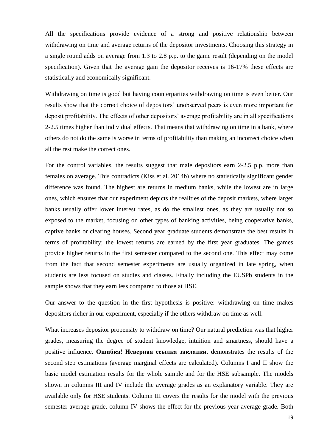All the specifications provide evidence of a strong and positive relationship between withdrawing on time and average returns of the depositor investments. Choosing this strategy in a single round adds on average from 1.3 to 2.8 p.p. to the game result (depending on the model specification). Given that the average gain the depositor receives is 16-17% these effects are statistically and economically significant.

Withdrawing on time is good but having counterparties withdrawing on time is even better. Our results show that the correct choice of depositors' unobserved peers is even more important for deposit profitability. The effects of other depositors' average profitability are in all specifications 2-2.5 times higher than individual effects. That means that withdrawing on time in a bank, where others do not do the same is worse in terms of profitability than making an incorrect choice when all the rest make the correct ones.

For the control variables, the results suggest that male depositors earn 2-2.5 p.p. more than females on average. This contradicts (Kiss et al. 2014b) where no statistically significant gender difference was found. The highest are returns in medium banks, while the lowest are in large ones, which ensures that our experiment depicts the realities of the deposit markets, where larger banks usually offer lower interest rates, as do the smallest ones, as they are usually not so exposed to the market, focusing on other types of banking activities, being cooperative banks, captive banks or clearing houses. Second year graduate students demonstrate the best results in terms of profitability; the lowest returns are earned by the first year graduates. The games provide higher returns in the first semester compared to the second one. This effect may come from the fact that second semester experiments are usually organized in late spring, when students are less focused on studies and classes. Finally including the EUSPb students in the sample shows that they earn less compared to those at HSE.

Our answer to the question in the first hypothesis is positive: withdrawing on time makes depositors richer in our experiment, especially if the others withdraw on time as well.

What increases depositor propensity to withdraw on time? Our natural prediction was that higher grades, measuring the degree of student knowledge, intuition and smartness, should have a positive influence. **Ошибка! Неверная ссылка закладки.** demonstrates the results of the second step estimations (average marginal effects are calculated). Columns I and II show the basic model estimation results for the whole sample and for the HSE subsample. The models shown in columns III and IV include the average grades as an explanatory variable. They are available only for HSE students. Column III covers the results for the model with the previous semester average grade, column IV shows the effect for the previous year average grade. [Both](#page-20-0)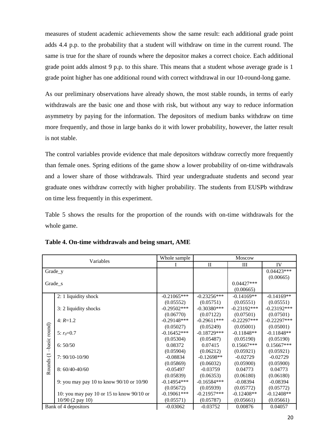measures [of student academic achievements show the same result: each additional grade point](#page-20-0)  [adds 4.4 p.p. to the probability that a student will withdraw on time in the current round. The](#page-20-0)  [same is true for the share of rounds where the depositor makes a correct choice. Each additional](#page-20-0)  [grade point adds almost 9 p.p. to this share. This means that a student whose average grade is 1](#page-20-0)  [grade point higher has one additional round with correct withdrawal in our 10-round-long game.](#page-20-0) 

[As our preliminary observations have already shown, the most stable rounds, in terms of early](#page-20-0)  [withdrawals are the basic one and those with risk, but without any way to reduce](#page-20-0) information [asymmetry by paying for the information. The depositors of medium banks withdraw on time](#page-20-0)  [more frequently, and those in large banks do it with lower probability, however, the latter result](#page-20-0)  [is not stable.](#page-20-0)

[The control variables provide evidence that male depositors withdraw correctly more frequently](#page-20-0)  [than female ones. Spring editions of the game show a lower probability of on-time withdrawals](#page-20-0)  and a [lower share of those withdrawals. Third year undergraduate students and](#page-20-0) second year [graduate ones withdraw correctly with higher probability. The students from EUSPb withdraw](#page-20-0)  [on time less frequently in this experiment.](#page-20-0) 

[Table 5](#page-20-0) shows the results for the proportion of the rounds with on-time withdrawals for the whole game.

|               |                                           | Whole sample   |               | <b>Moscow</b> |               |
|---------------|-------------------------------------------|----------------|---------------|---------------|---------------|
| Variables     |                                           |                | $\mathbf{I}$  | Ш             | IV            |
|               | Grade_y                                   |                |               |               | $0.04423***$  |
|               |                                           |                |               |               | (0.00665)     |
|               | Grade_s                                   |                |               | $0.04427***$  |               |
|               |                                           |                |               | (0.00665)     |               |
|               | 2: 1 liquidity shock                      | $-0.21065***$  | $-0.23256***$ | $-0.14169**$  | $-0.14169**$  |
|               |                                           | (0.05552)      | (0.05751)     | (0.05551)     | (0.05551)     |
|               | 3: 2 liquidity shocks                     | $-0.29502***$  | $-0.30380***$ | $-0.23192***$ | $-0.23192***$ |
|               |                                           | (0.06770)      | (0.07122)     | (0.07501)     | (0.07501)     |
|               | $4: R=1.2$                                | $-0.29148$ *** | $-0.29611***$ | $-0.22297***$ | $-0.22297***$ |
| -basic round) |                                           | (0.05027)      | (0.05249)     | (0.05001)     | (0.05001)     |
|               | 5: $r_0 = 0.7$                            | $-0.16452***$  | $-0.18729***$ | $-0.11848**$  | $-0.11848**$  |
|               |                                           | (0.05304)      | (0.05487)     | (0.05190)     | (0.05190)     |
|               | 6:50/50                                   | 0.08372        | 0.07415       | $0.15667***$  | $0.15667***$  |
|               |                                           | (0.05904)      | (0.06212)     | (0.05921)     | (0.05921)     |
|               | 7: 90/10-10/90                            | $-0.08834$     | $-0.12698**$  | $-0.02729$    | $-0.02729$    |
|               |                                           | (0.05869)      | (0.06032)     | (0.05900)     | (0.05900)     |
| Rounds (1     | $8:60/40-40/60$                           | $-0.05497$     | $-0.03759$    | 0.04773       | 0.04773       |
|               |                                           | (0.05839)      | (0.06353)     | (0.06180)     | (0.06180)     |
|               | 9: you may pay 10 to know 90/10 or 10/90  | $-0.14954***$  | $-0.16584***$ | $-0.08394$    | $-0.08394$    |
|               |                                           | (0.05672)      | (0.05939)     | (0.05772)     | (0.05772)     |
|               | 10: you may pay 10 or 15 to know 90/10 or | $-0.19061$ *** | $-0.21957***$ | $-0.12408**$  | $-0.12408**$  |
|               | $10/90$ (2 pay 10)                        | (0.05571)      | (0.05787)     | (0.05661)     | (0.05661)     |
|               | Bank of 4 depositors                      | $-0.03062$     | $-0.03752$    | 0.00876       | 0.04057       |

**Table 4. On-time withdrawals and being smart, AME**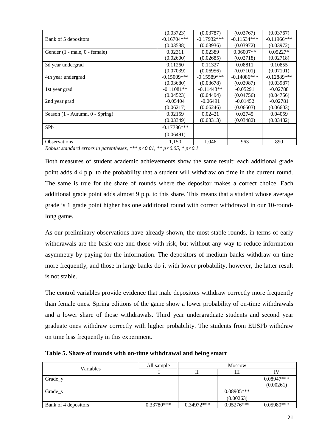|                                 | (0.03723)      | (0.03787)     | (0.03767)      | (0.03767)      |
|---------------------------------|----------------|---------------|----------------|----------------|
| Bank of 5 depositors            | $-0.16704***$  | $-0.17932***$ | $-0.11534***$  | $-0.11966$ *** |
|                                 | (0.03588)      | (0.03936)     | (0.03972)      | (0.03972)      |
| Gender (1 - male, 0 - female)   | 0.02311        | 0.02389       | $0.06007**$    | $0.05227*$     |
|                                 | (0.02600)      | (0.02685)     | (0.02718)      | (0.02718)      |
| 3d year undergrad               | 0.11260        | 0.11327       | 0.08811        | 0.10855        |
|                                 | (0.07039)      | (0.06956)     | (0.07101)      | (0.07101)      |
| 4th year undergrad              | $-0.15009$ *** | $-0.15589***$ | $-0.14086$ *** | $-0.12889$ *** |
|                                 | (0.03680)      | (0.03678)     | (0.03987)      | (0.03987)      |
| 1st year grad                   | $-0.11081**$   | $-0.11443**$  | $-0.05291$     | $-0.02788$     |
|                                 | (0.04523)      | (0.04494)     | (0.04756)      | (0.04756)      |
| 2nd year grad                   | $-0.05404$     | $-0.06491$    | $-0.01452$     | $-0.02781$     |
|                                 | (0.06217)      | (0.06246)     | (0.06603)      | (0.06603)      |
| Season (1 - Autumn, 0 - Spring) | 0.02159        | 0.02421       | 0.02745        | 0.04059        |
|                                 | (0.03349)      | (0.03313)     | (0.03482)      | (0.03482)      |
| SP <sub>b</sub>                 | $-0.17786***$  |               |                |                |
|                                 | (0.06491)      |               |                |                |
| <b>Observations</b>             | 1,150          | 1,046         | 963            | 890            |

*Robust standard errors in parentheses, \*\*\* p<0.01, \*\* p<0.05, \* p<0.1*

<span id="page-20-0"></span>Both measures of student academic achievements show the same result: each additional grade point adds 4.4 p.p. to the probability that a student will withdraw on time in the current round. The same is true for the share of rounds where the depositor makes a correct choice. Each additional grade point adds almost 9 p.p. to this share. This means that a student whose average grade is 1 grade point higher has one additional round with correct withdrawal in our 10-roundlong game.

As our preliminary observations have already shown, the most stable rounds, in terms of early withdrawals are the basic one and those with risk, but without any way to reduce information asymmetry by paying for the information. The depositors of medium banks withdraw on time more frequently, and those in large banks do it with lower probability, however, the latter result is not stable.

The control variables provide evidence that male depositors withdraw correctly more frequently than female ones. Spring editions of the game show a lower probability of on-time withdrawals and a lower share of those withdrawals. Third year undergraduate students and second year graduate ones withdraw correctly with higher probability. The students from EUSPb withdraw on time less frequently in this experiment.

| Variables            | All sample   | <b>Moscow</b> |              |              |  |  |
|----------------------|--------------|---------------|--------------|--------------|--|--|
|                      |              |               | Ш            |              |  |  |
| Grade_y              |              |               |              | $0.08947***$ |  |  |
|                      |              |               |              | (0.00261)    |  |  |
| Grade s              |              |               | $0.08905***$ |              |  |  |
|                      |              |               | (0.00263)    |              |  |  |
| Bank of 4 depositors | $0.33780***$ | $0.34972***$  | $0.05276***$ | $0.05980***$ |  |  |

**Table 5. Share of rounds with on-time withdrawal and being smart**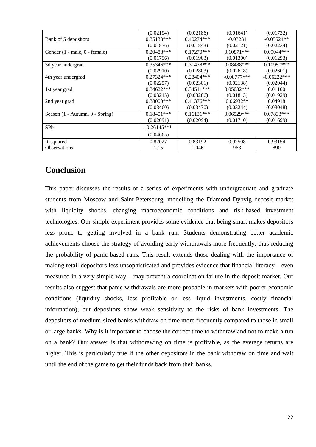|                                 | (0.02194)     | (0.02186)    | (0.01641)     | (0.01732)     |
|---------------------------------|---------------|--------------|---------------|---------------|
| Bank of 5 depositors            | $0.35133***$  | $0.40274***$ | $-0.03231$    | $-0.05524**$  |
|                                 | (0.01836)     | (0.01843)    | (0.02121)     | (0.02234)     |
| Gender (1 - male, 0 - female)   | $0.20488***$  | $0.17270***$ | $0.10871***$  | 0.09044***    |
|                                 | (0.01796)     | (0.01903)    | (0.01300)     | (0.01293)     |
| 3d year undergrad               | $0.35346***$  | $0.31438***$ | $0.08488***$  | $0.10950***$  |
|                                 | (0.02910)     | (0.02803)    | (0.02618)     | (0.02601)     |
| 4th year undergrad              | $0.27324***$  | $0.28404***$ | $-0.08777***$ | $-0.06222***$ |
|                                 | (0.02257)     | (0.02301)    | (0.02138)     | (0.02044)     |
| 1st year grad                   | $0.34622***$  | $0.34511***$ | $0.05032***$  | 0.01100       |
|                                 | (0.03215)     | (0.03286)    | (0.01813)     | (0.01929)     |
| 2nd year grad                   | $0.38000$ *** | $0.41376***$ | $0.06932**$   | 0.04918       |
|                                 | (0.03460)     | (0.03470)    | (0.03244)     | (0.03048)     |
| Season (1 - Autumn, 0 - Spring) | $0.18401$ *** | $0.16131***$ | $0.06529***$  | $0.07833***$  |
|                                 | (0.02091)     | (0.02094)    | (0.01710)     | (0.01699)     |
| SP <sub>b</sub>                 | $-0.26145***$ |              |               |               |
|                                 | (0.04665)     |              |               |               |
| R-squared                       | 0.82027       | 0.83192      | 0.92508       | 0.93154       |
| <b>Observations</b>             | 1,15          | 1,046        | 963           | 890           |

## **Conclusion**

This paper discusses the results of a series of experiments with undergraduate and graduate students from Moscow and Saint-Petersburg, modelling the Diamond-Dybvig deposit market with liquidity shocks, changing macroeconomic conditions and risk-based investment technologies. Our simple experiment provides some evidence that being smart makes depositors less prone to getting involved in a bank run. Students demonstrating better academic achievements choose the strategy of avoiding early withdrawals more frequently, thus reducing the probability of panic-based runs. This result extends those dealing with the importance of making retail depositors less unsophisticated and provides evidence that financial literacy – even measured in a very simple way – may prevent a coordination failure in the deposit market. Our results also suggest that panic withdrawals are more probable in markets with poorer economic conditions (liquidity shocks, less profitable or less liquid investments, costly financial information), but depositors show weak sensitivity to the risks of bank investments. The depositors of medium-sized banks withdraw on time more frequently compared to those in small or large banks. Why is it important to choose the correct time to withdraw and not to make a run on a bank? Our answer is that withdrawing on time is profitable, as the average returns are higher. This is particularly true if the other depositors in the bank withdraw on time and wait until the end of the game to get their funds back from their banks.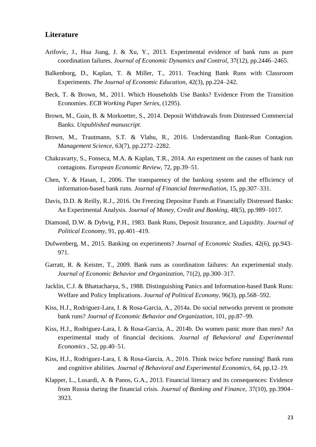#### **Literature**

- Arifovic, J., Hua Jiang, J. & Xu, Y., 2013. Experimental evidence of bank runs as pure coordination failures. *Journal of Economic Dynamics and Control*, 37(12), pp.2446–2465.
- Balkenborg, D., Kaplan, T. & Miller, T., 2011. Teaching Bank Runs with Classroom Experiments. *The Journal of Economic Education*, 42(3), pp.224–242.
- Beck, T. & Brown, M., 2011. Which Households Use Banks? Evidence From the Transition Economies. *ECB Working Paper Series*, (1295).
- Brown, M., Guin, B. & Morkoetter, S., 2014. Deposit Withdrawals from Distressed Commercial Banks. *Unpublished manuscript*.
- Brown, M., Trautmann, S.T. & Vlahu, R., 2016. Understanding Bank-Run Contagion. *Management Science*, 63(7), pp.2272–2282.
- Chakravarty, S., Fonseca, M.A. & Kaplan, T.R., 2014. An experiment on the causes of bank run contagions. *European Economic Review*, 72, pp.39–51.
- Chen, Y. & Hasan, I., 2006. The transparency of the banking system and the efficiency of information-based bank runs. *Journal of Financial Intermediation*, 15, pp.307–331.
- Davis, D.D. & Reilly, R.J., 2016. On Freezing Depositor Funds at Financially Distressed Banks: An Experimental Analysis. *Journal of Money, Credit and Banking*, 48(5), pp.989–1017.
- Diamond, D.W. & Dybvig, P.H., 1983. Bank Runs, Deposit Insurance, and Liquidity. *Journal of Political Economy*, 91, pp.401–419.
- Dufwenberg, M., 2015. Banking on experiments? *Journal of Economic Studies*, 42(6), pp.943– 971.
- Garratt, R. & Keister, T., 2009. Bank runs as coordination failures: An experimental study. *Journal of Economic Behavior and Organization*, 71(2), pp.300–317.
- Jacklin, C.J. & Bhattacharya, S., 1988. Distinguishing Panics and Information-based Bank Runs: Welfare and Policy Implications. *Journal of Political Economy*, 96(3), pp.568–592.
- Kiss, H.J., Rodriguez-Lara, I. & Rosa-Garcia, A., 2014a. Do social networks prevent or promote bank runs? *Journal of Economic Behavior and Organization*, 101, pp.87–99.
- Kiss, H.J., Rodriguez-Lara, I. & Rosa-Garcia, A., 2014b. Do women panic more than men? An experimental study of financial decisions. *Journal of Behavioral and Experimental Economics* , 52, pp.40–51.
- Kiss, H.J., Rodriguez-Lara, I. & Rosa-García, A., 2016. Think twice before running! Bank runs and cognitive abilities. *Journal of Behavioral and Experimental Economics*, 64, pp.12–19.
- Klapper, L., Lusardi, A. & Panos, G.A., 2013. Financial literacy and its consequences: Evidence from Russia during the financial crisis. *Journal of Banking and Finance*, 37(10), pp.3904– 3923.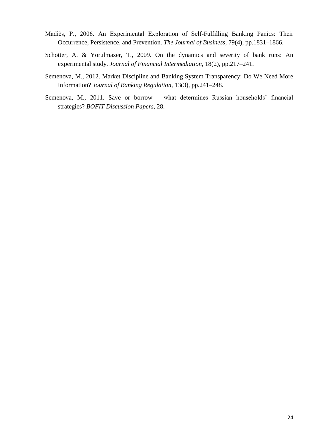- Madiès, P., 2006. An Experimental Exploration of Self-Fulfilling Banking Panics: Their Occurrence, Persistence, and Prevention. *The Journal of Business*, 79(4), pp.1831–1866.
- Schotter, A. & Yorulmazer, T., 2009. On the dynamics and severity of bank runs: An experimental study. *Journal of Financial Intermediation*, 18(2), pp.217–241.
- Semenova, M., 2012. Market Discipline and Banking System Transparency: Do We Need More Information? *Journal of Banking Regulation*, 13(3), pp.241–248.
- Semenova, M., 2011. Save or borrow what determines Russian households' financial strategies? *BOFIT Discussion Papers*, 28.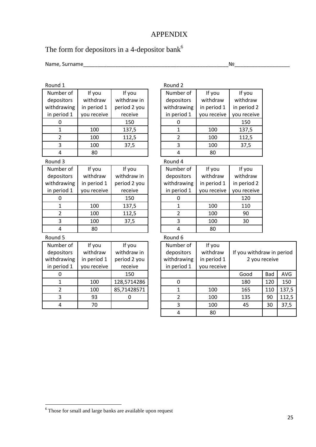## APPENDIX

# The form for depositors in a 4-depositor bank<sup>6</sup>

Round 1 Round 2

Name, Surname\_\_\_\_\_\_\_\_\_\_\_\_\_\_\_\_\_\_\_\_\_\_\_\_\_\_\_\_\_\_\_\_\_\_\_\_\_\_\_\_\_\_\_\_\_\_\_\_\_\_№\_\_\_\_\_\_\_\_\_\_\_\_\_\_\_\_\_\_\_

| Number of      | If you      | If you       | Number of               | If you      | If you                    |     |       |
|----------------|-------------|--------------|-------------------------|-------------|---------------------------|-----|-------|
| depositors     | withdraw    | withdraw in  | depositors              | withdraw    | withdraw                  |     |       |
| withdrawing    | in period 1 | period 2 you | withdrawing             | in period 1 | in period 2               |     |       |
| in period 1    | you receive | receive      | in period 1             | you receive | you receive               |     |       |
| 0              |             | 150          | 0                       |             | 150                       |     |       |
| $\mathbf 1$    | 100         | 137,5        | $\mathbf 1$             | 100         | 137,5                     |     |       |
| $\overline{2}$ | 100         | 112,5        | $\overline{2}$          | 100         | 112,5                     |     |       |
| 3              | 100         | 37,5         | 3                       | 100         | 37,5                      |     |       |
| 4              | 80          |              | $\overline{4}$          | 80          |                           |     |       |
| Round 3        |             |              | Round 4                 |             |                           |     |       |
| Number of      | If you      | If you       | Number of               | If you      | If you                    |     |       |
| depositors     | withdraw    | withdraw in  | depositors              | withdraw    | withdraw                  |     |       |
| withdrawing    | in period 1 | period 2 you | withdrawing             | in period 1 | in period 2               |     |       |
| in period 1    | you receive | receive      | in period 1             | you receive | you receive               |     |       |
| 0              |             | 150          | $\overline{0}$          |             | 120                       |     |       |
| $\mathbf{1}$   | 100         | 137,5        | $\mathbf 1$             | 100         | 110                       |     |       |
| $\overline{2}$ | 100         | 112,5        | $\overline{2}$          | 100         | 90                        |     |       |
| 3              | 100         | 37,5         | 3                       | 100         | 30                        |     |       |
| 4              | 80          |              | $\overline{4}$          | 80          |                           |     |       |
| Round 5        |             |              | Round 6                 |             |                           |     |       |
| Number of      | If you      | If you       | Number of               | If you      |                           |     |       |
| depositors     | withdraw    | withdraw in  | depositors              | withdraw    | If you withdraw in period |     |       |
| withdrawing    | in period 1 | period 2 you | withdrawing             | in period 1 | 2 you receive             |     |       |
| in period 1    | you receive | receive      | in period 1             | you receive |                           |     |       |
| 0              |             | 150          |                         |             | Good                      | Bad | AVG   |
| 1              | 100         | 128,5714286  | $\mathbf 0$             |             | 180                       | 120 | 150   |
| $\overline{2}$ | 100         | 85,71428571  | $\mathbf{1}$            | 100         | 165                       | 110 | 137,5 |
| 3              | 93          | $\mathbf 0$  | $\overline{2}$          | 100         | 135                       | 90  | 112,5 |
| 4              | 70          |              | $\overline{\mathbf{3}}$ | 100         | 45                        | 30  | 37,5  |
|                |             |              | $\overline{4}$          | 80          |                           |     |       |

Those for small and large banks are available upon request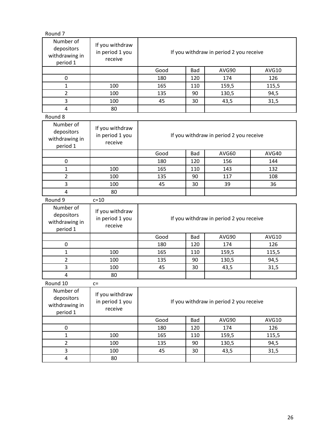| Round <sub>7</sub>                                    |                                               |      |     |                                         |              |
|-------------------------------------------------------|-----------------------------------------------|------|-----|-----------------------------------------|--------------|
| Number of<br>depositors<br>withdrawing in<br>period 1 | If you withdraw<br>in period 1 you<br>receive |      |     | If you withdraw in period 2 you receive |              |
|                                                       |                                               | Good | Bad | AVG90                                   | AVG10        |
| $\mathbf 0$                                           |                                               | 180  | 120 | 174                                     | 126          |
| $\mathbf 1$                                           | 100                                           | 165  | 110 | 159,5                                   | 115,5        |
| $\overline{2}$                                        | 100                                           | 135  | 90  | 130,5                                   | 94,5         |
| 3                                                     | 100                                           | 45   | 30  | 43,5                                    | 31,5         |
| $\overline{4}$                                        | 80                                            |      |     |                                         |              |
| Round 8                                               |                                               |      |     |                                         |              |
| Number of<br>depositors<br>withdrawing in<br>period 1 | If you withdraw<br>in period 1 you<br>receive |      |     | If you withdraw in period 2 you receive |              |
|                                                       |                                               | Good | Bad | AVG60                                   | AVG40        |
| $\mathbf 0$                                           |                                               | 180  | 120 | 156                                     | 144          |
| $\mathbf{1}$                                          | 100                                           | 165  | 110 | 143                                     | 132          |
| $\overline{2}$                                        | 100                                           | 135  | 90  | 117                                     | 108          |
| 3                                                     | 100                                           | 45   | 30  | 39                                      | 36           |
| 4                                                     | 80                                            |      |     |                                         |              |
| Round 9                                               | $c=10$                                        |      |     |                                         |              |
| Number of<br>depositors<br>withdrawing in<br>period 1 | If you withdraw<br>in period 1 you<br>receive |      |     | If you withdraw in period 2 you receive |              |
|                                                       |                                               | Good | Bad | AVG90                                   | AVG10        |
| $\mathbf 0$                                           |                                               | 180  | 120 | 174                                     | 126          |
| 1                                                     | 100                                           | 165  | 110 | 159,5                                   | 115,5        |
| $\overline{2}$                                        | 100                                           | 135  | 90  | 130,5                                   | 94,5         |
| 3                                                     | 100                                           | 45   | 30  | 43,5                                    | 31,5         |
| $\overline{4}$                                        | 80                                            |      |     |                                         |              |
| Round 10                                              | $C =$                                         |      |     |                                         |              |
| Number of<br>depositors<br>withdrawing in<br>period 1 | If you withdraw<br>in period 1 you<br>receive |      |     | If you withdraw in period 2 you receive |              |
|                                                       |                                               | Good | Bad | AVG90                                   | <b>AVG10</b> |
| 0                                                     |                                               | 180  | 120 | 174                                     | 126          |
| $\mathbf{1}$                                          | 100                                           | 165  | 110 | 159,5                                   | 115,5        |
| $\overline{2}$                                        | 100                                           | 135  | 90  | 130,5                                   | 94,5         |
| $\overline{3}$                                        | 100                                           | 45   | 30  | 43,5                                    | 31,5         |